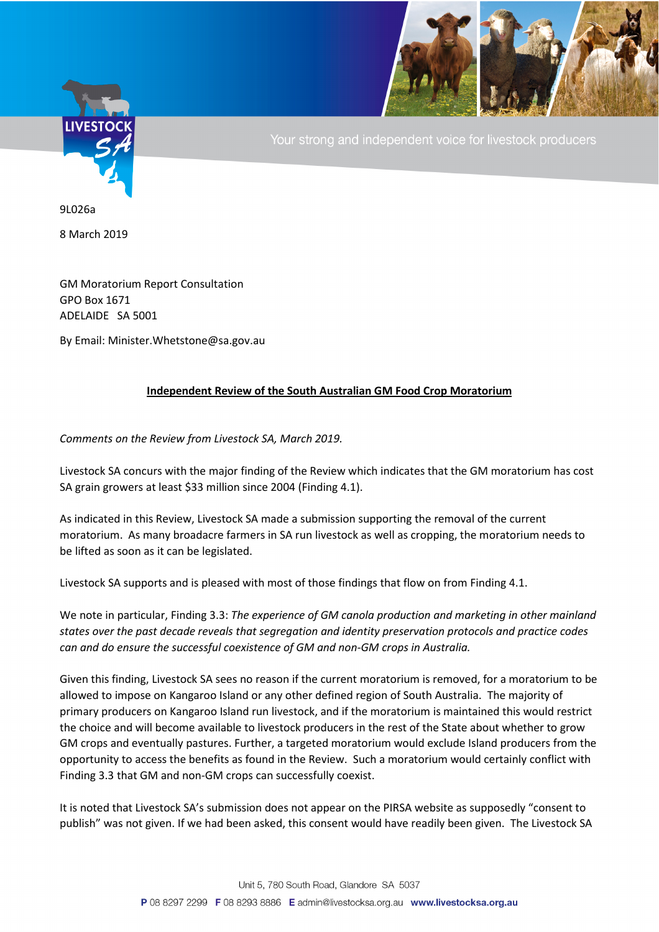

Your strong and independent voice for livestock producers

9L026a

8 March 2019

GM Moratorium Report Consultation GPO Box 1671 ADELAIDE SA 5001

By Email: Minister.Whetstone@sa.gov.au

## **Independent Review of the South Australian GM Food Crop Moratorium**

*Comments on the Review from Livestock SA, March 2019.*

Livestock SA concurs with the major finding of the Review which indicates that the GM moratorium has cost SA grain growers at least \$33 million since 2004 (Finding 4.1).

As indicated in this Review, Livestock SA made a submission supporting the removal of the current moratorium. As many broadacre farmers in SA run livestock as well as cropping, the moratorium needs to be lifted as soon as it can be legislated.

Livestock SA supports and is pleased with most of those findings that flow on from Finding 4.1.

We note in particular, Finding 3.3: *The experience of GM canola production and marketing in other mainland states over the past decade reveals that segregation and identity preservation protocols and practice codes can and do ensure the successful coexistence of GM and non-GM crops in Australia.*

Given this finding, Livestock SA sees no reason if the current moratorium is removed, for a moratorium to be allowed to impose on Kangaroo Island or any other defined region of South Australia. The majority of primary producers on Kangaroo Island run livestock, and if the moratorium is maintained this would restrict the choice and will become available to livestock producers in the rest of the State about whether to grow GM crops and eventually pastures. Further, a targeted moratorium would exclude Island producers from the opportunity to access the benefits as found in the Review. Such a moratorium would certainly conflict with Finding 3.3 that GM and non-GM crops can successfully coexist.

It is noted that Livestock SA's submission does not appear on the PIRSA website as supposedly "consent to publish" was not given. If we had been asked, this consent would have readily been given. The Livestock SA